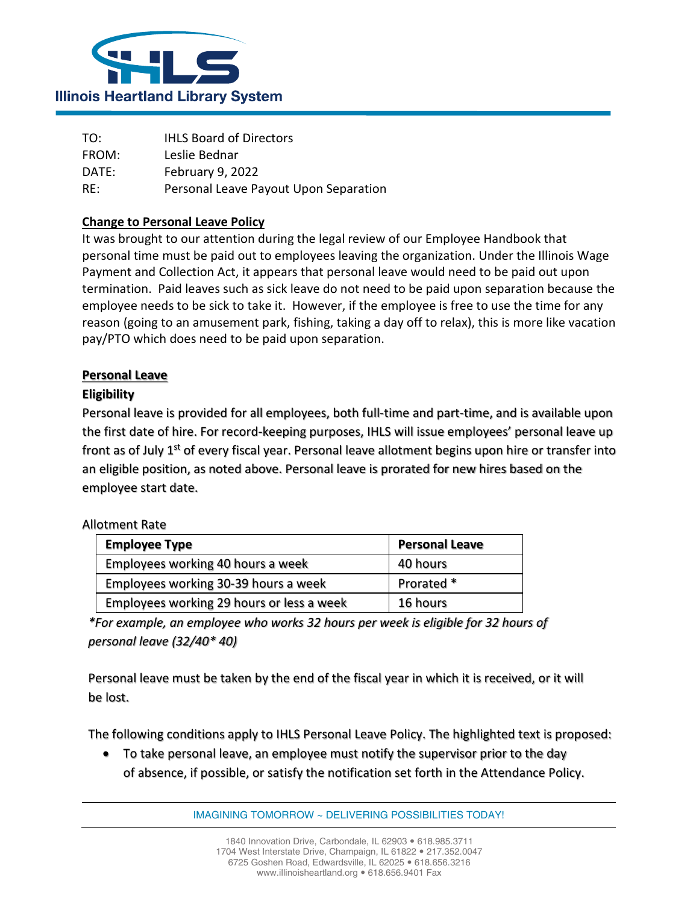

| TO:   | <b>IHLS Board of Directors</b>        |
|-------|---------------------------------------|
| FROM: | Leslie Bednar                         |
| DATE: | February 16, 2022                     |
| RE:   | Personal Leave Payout Upon Separation |

## **Change to Personal Leave Policy**

It was brought to our attention during the legal review of our Employee Handbook that personal time must be paid out to employees leaving the organization. Under the Illinois Wage Payment and Collection Act, it appears that personal leave would need to be paid out upon termination. Paid leaves such as sick leave do not need to be paid upon separation because the employee needs to be sick to take it. However, if the employee is free to use the time for any reason (going to an amusement park, fishing, taking a day off to relax), this is more like vacation pay/PTO which does need to be paid upon separation.

## **Personal Leave**

### **Eligibility**

Personal leave is provided for all employees, both full-time and part-time, and is available upon the first date of hire. For record-keeping purposes, IHLS will issue employees' personal leave up front as of July  $1<sup>st</sup>$  of every fiscal year. Personal leave allotment begins upon hire or transfer into an eligible position, as noted above. Personal leave is prorated for new hires based on the employee start date.

#### Allotment Rate

| <b>Employee Type</b>                      | <b>Personal Leave</b> |
|-------------------------------------------|-----------------------|
| Employees working 40 hours a week         | 40 hours              |
| Employees working 30-39 hours a week      | Prorated *            |
| Employees working 29 hours or less a week | 16 hours              |

*\*For example, an employee who works 32 hours per week is eligible for 32 hours of personal leave (32/40\* 40)*

Personal leave must be taken by the end of the fiscal year in which it is received, or it will be lost.

The following conditions apply to IHLS Personal Leave Policy. The highlighted text is proposed:

• To take personal leave, an employee must notify the supervisor prior to the day of absence, if possible, or satisfy the notification set forth in the Attendance Policy.

IMAGINING TOMORROW ~ DELIVERING POSSIBILITIES TODAY!